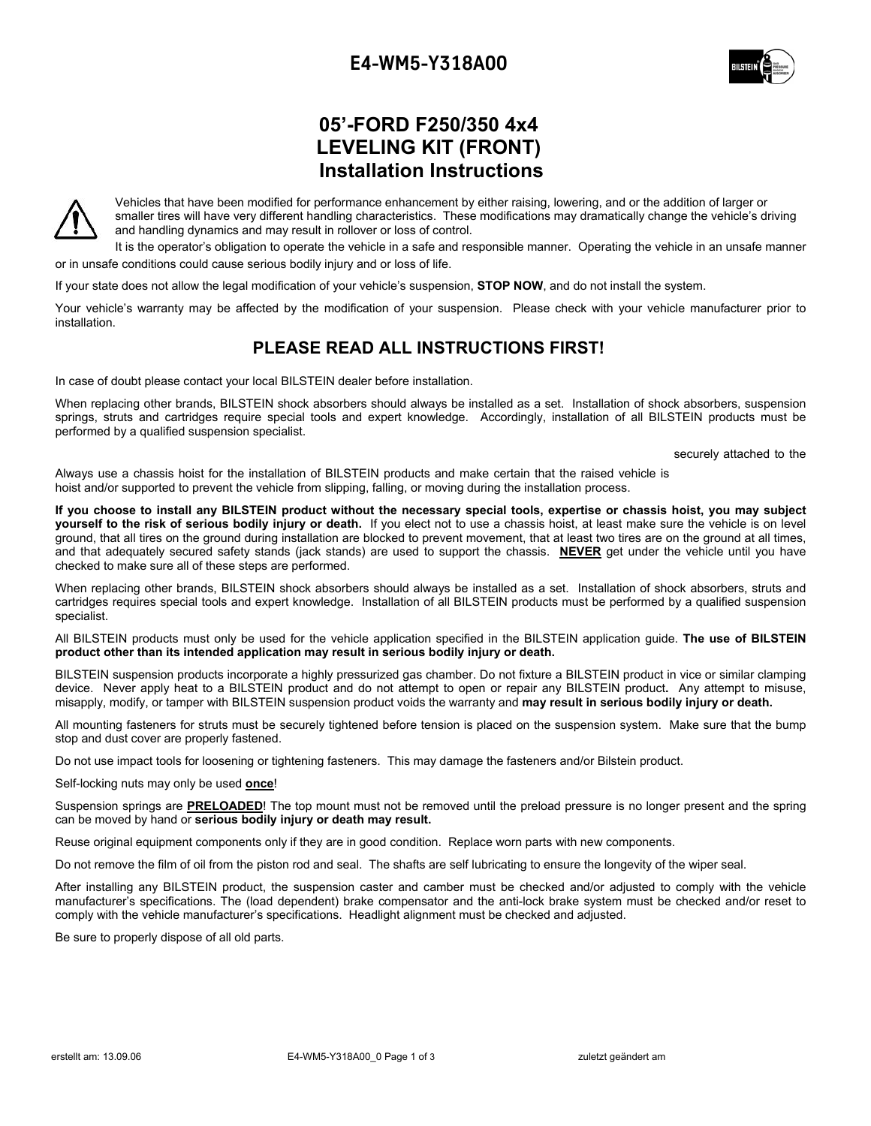# **E4-WM5-Y318A00**



# **05'-FORD F250/350 4x4 LEVELING KIT (FRONT) Installation Instructions**



Vehicles that have been modified for performance enhancement by either raising, lowering, and or the addition of larger or smaller tires will have very different handling characteristics. These modifications may dramatically change the vehicle's driving and handling dynamics and may result in rollover or loss of control.

It is the operator's obligation to operate the vehicle in a safe and responsible manner. Operating the vehicle in an unsafe manner or in unsafe conditions could cause serious bodily injury and or loss of life.

If your state does not allow the legal modification of your vehicle's suspension, **STOP NOW**, and do not install the system.

Your vehicle's warranty may be affected by the modification of your suspension. Please check with your vehicle manufacturer prior to installation.

## **PLEASE READ ALL INSTRUCTIONS FIRST!**

In case of doubt please contact your local BILSTEIN dealer before installation.

When replacing other brands, BILSTEIN shock absorbers should always be installed as a set. Installation of shock absorbers, suspension springs, struts and cartridges require special tools and expert knowledge. Accordingly, installation of all BILSTEIN products must be performed by a qualified suspension specialist.

securely attached to the

Always use a chassis hoist for the installation of BILSTEIN products and make certain that the raised vehicle is hoist and/or supported to prevent the vehicle from slipping, falling, or moving during the installation process.

**If you choose to install any BILSTEIN product without the necessary special tools, expertise or chassis hoist, you may subject yourself to the risk of serious bodily injury or death.** If you elect not to use a chassis hoist, at least make sure the vehicle is on level ground, that all tires on the ground during installation are blocked to prevent movement, that at least two tires are on the ground at all times, and that adequately secured safety stands (jack stands) are used to support the chassis. **NEVER** get under the vehicle until you have checked to make sure all of these steps are performed.

When replacing other brands, BILSTEIN shock absorbers should always be installed as a set. Installation of shock absorbers, struts and cartridges requires special tools and expert knowledge. Installation of all BILSTEIN products must be performed by a qualified suspension specialist.

All BILSTEIN products must only be used for the vehicle application specified in the BILSTEIN application guide. **The use of BILSTEIN product other than its intended application may result in serious bodily injury or death.** 

BILSTEIN suspension products incorporate a highly pressurized gas chamber. Do not fixture a BILSTEIN product in vice or similar clamping device. Never apply heat to a BILSTEIN product and do not attempt to open or repair any BILSTEIN product**.** Any attempt to misuse, misapply, modify, or tamper with BILSTEIN suspension product voids the warranty and **may result in serious bodily injury or death.** 

All mounting fasteners for struts must be securely tightened before tension is placed on the suspension system. Make sure that the bump stop and dust cover are properly fastened.

Do not use impact tools for loosening or tightening fasteners. This may damage the fasteners and/or Bilstein product.

Self-locking nuts may only be used **once**!

Suspension springs are **PRELOADED**! The top mount must not be removed until the preload pressure is no longer present and the spring can be moved by hand or **serious bodily injury or death may result.** 

Reuse original equipment components only if they are in good condition. Replace worn parts with new components.

Do not remove the film of oil from the piston rod and seal. The shafts are self lubricating to ensure the longevity of the wiper seal.

After installing any BILSTEIN product, the suspension caster and camber must be checked and/or adjusted to comply with the vehicle manufacturer's specifications. The (load dependent) brake compensator and the anti-lock brake system must be checked and/or reset to comply with the vehicle manufacturer's specifications. Headlight alignment must be checked and adjusted.

Be sure to properly dispose of all old parts.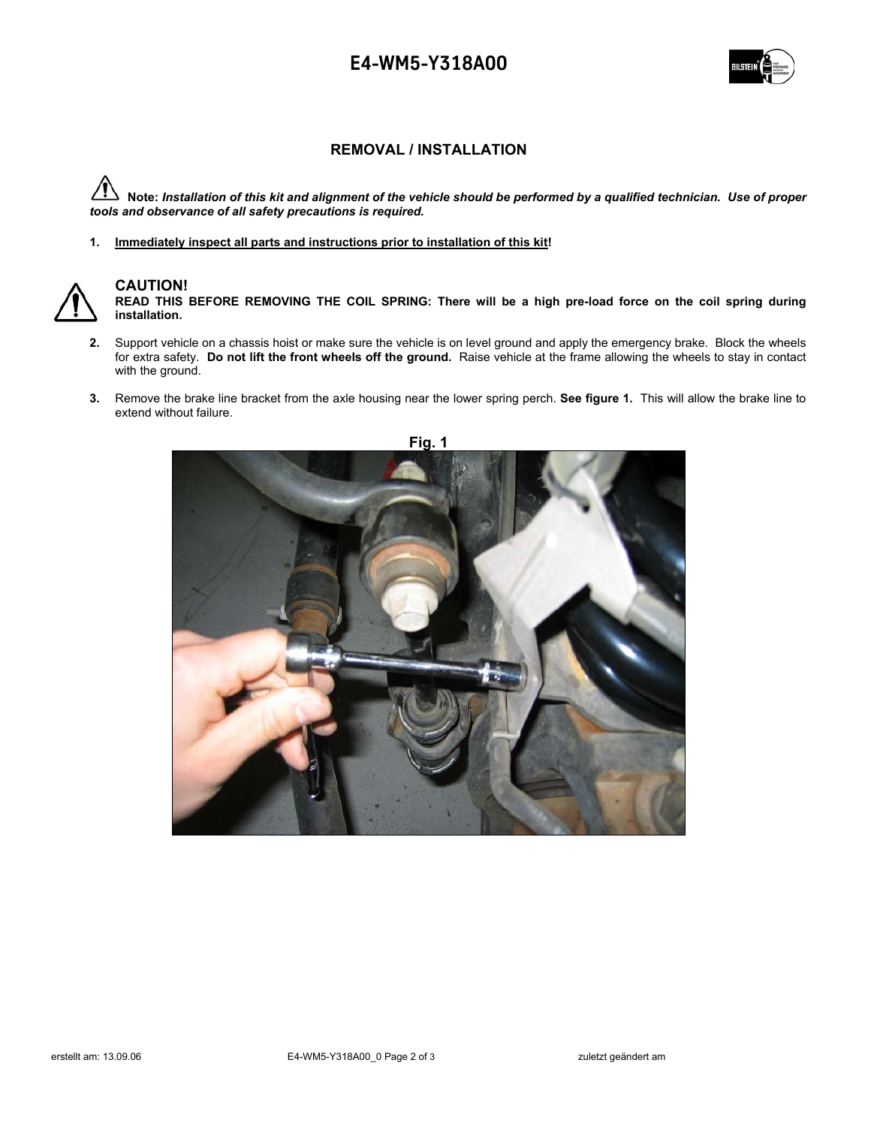## **E4-WM5-Y318A00**



#### **REMOVAL / INSTALLATION**

 **Note:** *Installation of this kit and alignment of the vehicle should be performed by a qualified technician. Use of proper tools and observance of all safety precautions is required.* 

**1. Immediately inspect all parts and instructions prior to installation of this kit!** 



### **CAUTION!**

**READ THIS BEFORE REMOVING THE COIL SPRING: There will be a high pre-load force on the coil spring during installation.** 

- **2.** Support vehicle on a chassis hoist or make sure the vehicle is on level ground and apply the emergency brake. Block the wheels for extra safety. **Do not lift the front wheels off the ground.** Raise vehicle at the frame allowing the wheels to stay in contact with the ground.
- **3.** Remove the brake line bracket from the axle housing near the lower spring perch. **See figure 1.** This will allow the brake line to extend without failure.